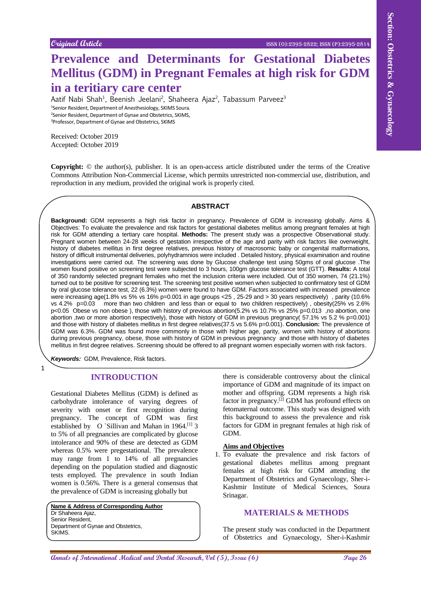# **Prevalence and Determinants for Gestational Diabetes Mellitus (GDM) in Pregnant Females at high risk for GDM in a teritiary care center**

Aatif Nabi Shah<sup>1</sup>, Beenish Jeelani<sup>2</sup>, Shaheera Ajaz<sup>2</sup>, Tabassum Parveez<sup>3</sup> Senior Resident, Department of Anesthesiology, SKIMS Soura. Senior Resident, Department of Gynae and Obstetrics, SKIMS, Professor, Department of Gynae and Obstetrics, SKIMS

Received: October 2019 Accepted: October 2019

**Copyright:** © the author(s), publisher. It is an open-access article distributed under the terms of the Creative Commons Attribution Non-Commercial License, which permits unrestricted non-commercial use, distribution, and reproduction in any medium, provided the original work is properly cited.

## **ABSTRACT**

Couper of the cost of the cost of the cost of the cost of the cost of the cost of the cost of the cost of the cost of the cost of the cost of the cost of the cost of the cost of the cost of the cost of the cost of the cost **Background:** GDM represents a high risk factor in pregnancy. Prevalence of GDM is increasing globally. Aims & Objectives: To evaluate the prevalence and risk factors for gestational diabetes mellitus among pregnant females at high risk for GDM attending a tertiary care hospital. **Methods:** The present study was a prospective Observational study. Pregnant women between 24-28 weeks of gestation irrespective of the age and parity with risk factors like overweight, history of diabetes mellitus in first degree relatives, previous history of macrosomic baby or congenital malformations, history of difficult instrumental deliveries, polyhydramnios were included . Detailed history, physical examination and routine investigations were carried out. The screening was done by Glucose challenge test using 50gms of oral glucose .The women found positive on screening test were subjected to 3 hours, 100gm glucose tolerance test (GTT). **Results:** A total of 350 randomly selected pregnant females who met the inclusion criteria were included. Out of 350 women, 74 (21.1%) turned out to be positive for screening test. The screening test positive women when subjected to confirmatory test of GDM by oral glucose tolerance test, 22 (6.3%) women were found to have GDM. Factors associated with increased prevalence were increasing age(1.8% vs 5% vs 16% p=0.001 in age groups <25, 25-29 and > 30 years respectively), parity (10.6% vs 4.2% p=0.03 more than two children and less than or equal to two children respectively), obesity(25% vs 2.6% p<0.05 Obese vs non obese ), those with history of previous abortion(5.2% vs 10.7% vs 25% p=0.013 ,no abortion, one abortion ,two or more abortion respectively), those with history of GDM in previous pregnancy( 57.1% vs 5.2 % p=0.001) and those with history of diabetes mellitus in first degree relatives(37.5 vs 5.6% p=0.001). **Conclusion:** The prevalence of GDM was 6.3%. GDM was found more commonly in those with higher age, parity, women with history of abortions during previous pregnancy, obese, those with history of GDM in previous pregnancy and those with history of diabetes mellitus in first degree relatives. Screening should be offered to all pregnant women especially women with risk factors.

*Keywords:* GDM, Prevalence, Risk factors.

1

## **INTRODUCTION**

Gestational Diabetes Mellitus (GDM) is defined as carbohydrate intolerance of varying degrees of severity with onset or first recognition during pregnancy. The concept of GDM was first established by O `Sillivan and Mahan in 1964.<sup>[1]</sup> 3 to 5% of all pregnancies are complicated by glucose intolerance and 90% of these are detected as GDM whereas 0.5% were pregestational. The prevalence may range from 1 to 14% of all pregnancies depending on the population studied and diagnostic tests employed. The prevalence in south Indian women is 0.56%. There is a general consensus that the prevalence of GDM is increasing globally but

**Name & Address of Corresponding Author** Dr Shaheera Ajaz, Senior Resident, Department of Gynae and Obstetrics, SKIMS.

there is considerable controversy about the clinical importance of GDM and magnitude of its impact on mother and offspring. GDM represents a high risk factor in pregnancy.<sup>[2]</sup> GDM has profound effects on fetomaternal outcome. This study was designed with this background to assess the prevalence and risk factors for GDM in pregnant females at high risk of GDM.

#### **Aims and Objectives**

1. To evaluate the prevalence and risk factors of gestational diabetes mellitus among pregnant females at high risk for GDM attending the Department of Obstetrics and Gynaecology, Sher-i-Kashmir Institute of Medical Sciences, Soura Srinagar.

## **MATERIALS & METHODS**

The present study was conducted in the Department of Obstetrics and Gynaecology, Sher-i-Kashmir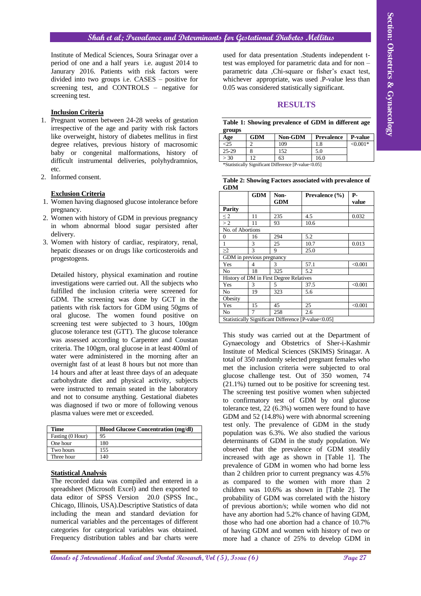## **Shah et al; Prevalence and Determinants for Gestational Diabetes Mellitus**

Institute of Medical Sciences, Soura Srinagar over a period of one and a half years i.e. august 2014 to Janurary 2016. Patients with risk factors were divided into two groups i.e. CASES – positive for screening test, and CONTROLS – negative for screening test.

## **Inclusion Criteria**

- 1. Pregnant women between 24-28 weeks of gestation irrespective of the age and parity with risk factors like overweight, history of diabetes mellitus in first degree relatives, previous history of macrosomic baby or congenital malformations, history of difficult instrumental deliveries, polyhydramnios, etc.
- 2. Informed consent.

### **Exclusion Criteria**

- 1. Women having diagnosed glucose intolerance before pregnancy.
- 2. Women with history of GDM in previous pregnancy in whom abnormal blood sugar persisted after delivery.
- 3. Women with history of cardiac, respiratory, renal, hepatic diseases or on drugs like corticosteroids and progestogens.

Detailed history, physical examination and routine investigations were carried out. All the subjects who fulfilled the inclusion criteria were screened for GDM. The screening was done by GCT in the patients with risk factors for GDM using 50gms of oral glucose. The women found positive on screening test were subjected to 3 hours, 100gm glucose tolerance test (GTT). The glucose tolerance was assessed according to Carpenter and Coustan criteria. The 100gm, oral glucose in at least 400ml of water were administered in the morning after an overnight fast of at least 8 hours but not more than 14 hours and after at least three days of an adequate carbohydrate diet and physical activity, subjects were instructed to remain seated in the laboratory and not to consume anything. Gestational diabetes was diagnosed if two or more of following venous plasma values were met or exceeded.

| <b>Time</b>      | <b>Blood Glucose Concentration (mg/dl)</b> |
|------------------|--------------------------------------------|
| Fasting (0 Hour) | 95                                         |
| One hour         | 180                                        |
| Two hours        | 155                                        |
| Three hour       | 140                                        |

# **Statistical Analysis**

The recorded data was compiled and entered in a spreadsheet (Microsoft Excel) and then exported to data editor of SPSS Version 20.0 (SPSS Inc., Chicago, Illinois, USA).Descriptive Statistics of data including the mean and standard deviation for numerical variables and the percentages of different categories for categorical variables was obtained. Frequency distribution tables and bar charts were

used for data presentation .Students independent ttest was employed for parametric data and for non – parametric data ,Chi-square or fisher's exact test, whichever appropriate, was used .P-value less than 0.05 was considered statistically significant.

#### **RESULTS**

**Table 1: Showing prevalence of GDM in different age groups**

| Age                                                  | <b>GDM</b> | <b>Non-GDM</b> | <b>Prevalence</b> | <b>P-value</b> |  |
|------------------------------------------------------|------------|----------------|-------------------|----------------|--|
|                                                      |            | 109            | 1.8               | $< 0.001*$     |  |
| 25-29                                                |            | 152            | 5.0               |                |  |
| > 30                                                 | 12         | 63             | 16.0              |                |  |
| *Statistically Significant Difference [P-value<0.05] |            |                |                   |                |  |

|            | Table 2: Showing Factors associated with prevalence of |  |  |
|------------|--------------------------------------------------------|--|--|
| <b>GDM</b> |                                                        |  |  |

|                           | <b>GDM</b> | Non-<br><b>GDM</b>                      | Prevalence (%)                                      | Р-<br>value |
|---------------------------|------------|-----------------------------------------|-----------------------------------------------------|-------------|
| Parity                    |            |                                         |                                                     |             |
| $\leq$ 2                  | 11         | 235                                     | 4.5                                                 | 0.032       |
| >2                        | 11         | 93                                      | 10.6                                                |             |
| No. of Abortions          |            |                                         |                                                     |             |
| $\Omega$                  | 16         | 294                                     | 5.2                                                 |             |
|                           | 3          | 25                                      | 10.7                                                | 0.013       |
| $\geq$ 2                  | 3          | 9                                       | 25.0                                                |             |
| GDM in previous pregnancy |            |                                         |                                                     |             |
| Yes                       | 4          | 3                                       | 57.1                                                | < 0.001     |
| No                        | 18         | 325                                     | 5.2                                                 |             |
|                           |            | History of DM in First Degree Relatives |                                                     |             |
| Yes                       | 3          | 5                                       | 37.5                                                | < 0.001     |
| No                        | 19         | 323                                     | 5.6                                                 |             |
| Obesity                   |            |                                         |                                                     |             |
| Yes                       | 15         | 45                                      | 25                                                  | < 0.001     |
| No                        | 7          | 258                                     | 2.6                                                 |             |
|                           |            |                                         | Statistically Significant Difference [P-value<0.05] |             |

**André de la construction and Dental Annals of Gynaecology Medical and Dental Benefits in the constrained states of the section of the section of the section of the section of the section of the section of the section of** This study was carried out at the Department of Gynaecology and Obstetrics of Sher-i-Kashmir Institute of Medical Sciences (SKIMS) Srinagar. A total of 350 randomly selected pregnant females who met the inclusion criteria were subjected to oral glucose challenge test. Out of 350 women, 74 (21.1%) turned out to be positive for screening test. The screening test positive women when subjected to confirmatory test of GDM by oral glucose tolerance test, 22 (6.3%) women were found to have GDM and 52 (14.8%) were with abnormal screening test only. The prevalence of GDM in the study population was 6.3%. We also studied the various determinants of GDM in the study population. We observed that the prevalence of GDM steadily increased with age as shown in [Table 1]. The prevalence of GDM in women who had borne less than 2 children prior to current pregnancy was 4.5% as compared to the women with more than 2 children was 10.6% as shown in [Table 2]. The probability of GDM was correlated with the history of previous abortion/s; while women who did not have any abortion had 5.2% chance of having GDM, those who had one abortion had a chance of 10.7% of having GDM and women with history of two or more had a chance of 25% to develop GDM in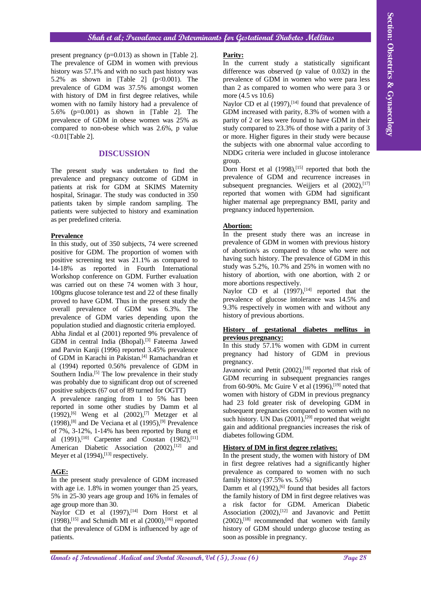## **Shah et al; Prevalence and Determinants for Gestational Diabetes Mellitus**

present pregnancy (p=0.013) as shown in [Table 2]. The prevalence of GDM in women with previous history was 57.1% and with no such past history was 5.2% as shown in [Table 2]  $(p<0.001)$ . The prevalence of GDM was 37.5% amongst women with history of DM in first degree relatives, while women with no family history had a prevalence of 5.6% (p=0.001) as shown in [Table 2]. The prevalence of GDM in obese women was 25% as compared to non-obese which was 2.6%, p value <0.01[Table 2].

## **DISCUSSION**

The present study was undertaken to find the prevalence and pregnancy outcome of GDM in patients at risk for GDM at SKIMS Maternity hospital, Srinagar. The study was conducted in 350 patients taken by simple random sampling. The patients were subjected to history and examination as per predefined criteria.

## **Prevalence**

Sind of ed. Proceed contribute and **Page 28 Controlled Controlled Controlled Controlled Controlled Controlled Controlled Controlled Controlled Controlled Controlled Controlled Controlled Controlled Controlled Controlled** In this study, out of 350 subjects, 74 were screened positive for GDM. The proportion of women with positive screening test was 21.1% as compared to 14-18% as reported in Fourth International Workshop conference on GDM. Further evaluation was carried out on these 74 women with 3 hour, 100gms glucose tolerance test and 22 of these finally proved to have GDM. Thus in the present study the overall prevalence of GDM was 6.3%. The prevalence of GDM varies depending upon the population studied and diagnostic criteria employed. Abha Jindal et al (2001) reported 9% prevalence of GDM in central India (Bhopal).[3] Fateema Jawed and Parvin Kanji (1996) reported 3.45% prevalence of GDM in Karachi in Pakistan.<sup>[4]</sup> Ramachandran et al (1994) reported 0.56% prevalence of GDM in Southern India.<sup>[5]</sup> The low prevalence in their study was probably due to significant drop out of screened positive subjects (67 out of 89 turned for OGTT)

A prevalence ranging from 1 to 5% has been reported in some other studies by Damm et al  $(1992)$ ,<sup>[6]</sup> Weng et al  $(2002)$ ,<sup>[7]</sup> Metzger et al  $(1998)$ ,<sup>[8]</sup> and De Veciana et al  $(1995)$ ,<sup>[9]</sup> Prevalence of 7%, 3-12%, 1-14% has been reported by Bung et al  $(1991)$ ,  $[10]$  Carpenter and Coustan  $(1982)$ ,  $[11]$ American Diabetic Association (2002),<sup>[12]</sup> and Meyer et al  $(1994)$ ,  $^{[13]}$  respectively.

## **AGE:**

In the present study prevalence of GDM increased with age i.e. 1.8% in women younger than 25 years, 5% in 25-30 years age group and 16% in females of age group more than 30.

Naylor CD et al  $(1997)$ ,<sup>[14]</sup> Dorn Horst et al  $(1998)$ , [15] and Schmidh MI et al  $(2000)$ , [16] reported that the prevalence of GDM is influenced by age of patients.

## **Parity:**

In the current study a statistically significant difference was observed (p value of 0.032) in the prevalence of GDM in women who were para less than 2 as compared to women who were para 3 or more (4.5 vs 10.6)

Naylor CD et al  $(1997)$ ,  $[14]$  found that prevalence of GDM increased with parity, 8.3% of women with a parity of 2 or less were found to have GDM in their study compared to 23.3% of those with a parity of 3 or more. Higher figures in their study were because the subjects with one abnormal value according to NDDG criteria were included in glucose intolerance group.

Dorn Horst et al (1998),<sup>[15]</sup> reported that both the prevalence of GDM and recurrence increases in subsequent pregnancies. Weijjers et al (2002), [17] reported that women with GDM had significant higher maternal age prepregnancy BMI, parity and pregnancy induced hypertension.

## **Abortion:**

In the present study there was an increase in prevalence of GDM in women with previous history of abortion/s as compared to those who were not having such history. The prevalence of GDM in this study was 5.2%, 10.7% and 25% in women with no history of abortion, with one abortion, with 2 or more abortions respectively.

Naylor CD et al  $(1997)$ ,<sup>[14]</sup> reported that the prevalence of glucose intolerance was 14.5% and 9.3% respectively in women with and without any history of previous abortions.

## **History of gestational diabetes mellitus in previous pregnancy:**

In this study 57.1% women with GDM in current pregnancy had history of GDM in previous pregnancy.

Javanovic and Pettit (2002),<sup>[18]</sup> reported that risk of GDM recurring in subsequent pregnancies ranges from 60-90%. Mc Guire V et al  $(1996)$ ,  $^{[19]}$  noted that women with history of GDM in previous pregnancy had 23 fold greater risk of developing GDM in subsequent pregnancies compared to women with no such history. UN Das (2001),<sup>[20]</sup> reported that weight gain and additional pregnancies increases the risk of diabetes following GDM.

## **History of DM in first degree relatives:**

In the present study, the women with history of DM in first degree relatives had a significantly higher prevalence as compared to women with no such family history (37.5% vs. 5.6%)

Damm et al  $(1992)$ , <sup>[6]</sup> found that besides all factors the family history of DM in first degree relatives was a risk factor for GDM. American Diabetic Association (2002),<sup>[12]</sup> and Javanovic and Pettitt (2002), [18] recommended that women with family history of GDM should undergo glucose testing as soon as possible in pregnancy.